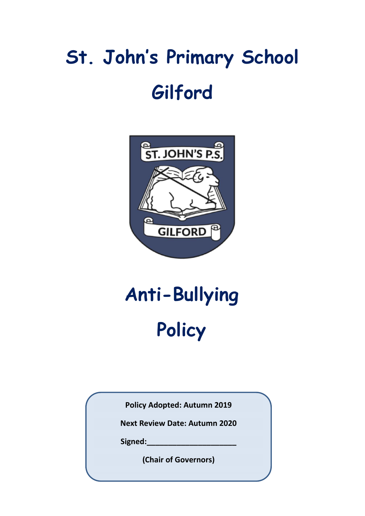# **St. John's Primary School Gilford**



# **Anti-Bullying Policy**

**Policy Adopted: Autumn 2019**

**Next Review Date: Autumn 2020**

**Signed:\_\_\_\_\_\_\_\_\_\_\_\_\_\_\_\_\_\_\_\_\_**

**(Chair of Governors)**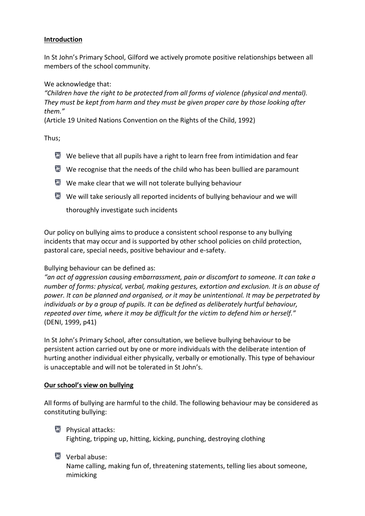#### **Introduction**

In St John's Primary School, Gilford we actively promote positive relationships between all members of the school community.

We acknowledge that:

*"Children have the right to be protected from all forms of violence (physical and mental). They must be kept from harm and they must be given proper care by those looking after them."*

(Article 19 United Nations Convention on the Rights of the Child, 1992)

Thus;

- $\blacksquare$  We believe that all pupils have a right to learn free from intimidation and fear
- $\blacksquare$  We recognise that the needs of the child who has been bullied are paramount
- We make clear that we will not tolerate bullying behaviour
- $\blacksquare$  We will take seriously all reported incidents of bullying behaviour and we will

thoroughly investigate such incidents

Our policy on bullying aims to produce a consistent school response to any bullying incidents that may occur and is supported by other school policies on child protection, pastoral care, special needs, positive behaviour and e-safety.

## Bullying behaviour can be defined as:

*"an act of aggression causing embarrassment, pain or discomfort to someone. It can take a number of forms: physical, verbal, making gestures, extortion and exclusion. It is an abuse of power. It can be planned and organised, or it may be unintentional. It may be perpetrated by individuals or by a group of pupils. It can be defined as deliberately hurtful behaviour, repeated over time, where it may be difficult for the victim to defend him or herself."* (DENI, 1999, p41)

In St John's Primary School, after consultation, we believe bullying behaviour to be persistent action carried out by one or more individuals with the deliberate intention of hurting another individual either physically, verbally or emotionally. This type of behaviour is unacceptable and will not be tolerated in St John's.

## **Our school's view on bullying**

All forms of bullying are harmful to the child. The following behaviour may be considered as constituting bullying:

- **Physical attacks:** Fighting, tripping up, hitting, kicking, punching, destroying clothing
- Verbal abuse:

Name calling, making fun of, threatening statements, telling lies about someone, mimicking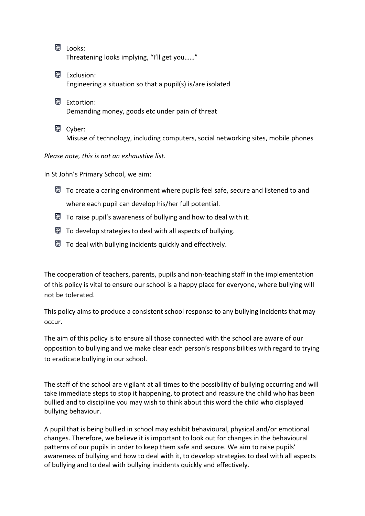**Looks:** Threatening looks implying, "I'll get you……"

Exclusion: Engineering a situation so that a pupil(s) is/are isolated

图 Extortion: Demanding money, goods etc under pain of threat

Cyber: Misuse of technology, including computers, social networking sites, mobile phones

*Please note, this is not an exhaustive list.*

In St John's Primary School, we aim:

- $\blacksquare$  To create a caring environment where pupils feel safe, secure and listened to and where each pupil can develop his/her full potential.
- $\Box$  To raise pupil's awareness of bullying and how to deal with it.
- $\blacksquare$  To develop strategies to deal with all aspects of bullying.
- $\blacksquare$  To deal with bullying incidents quickly and effectively.

The cooperation of teachers, parents, pupils and non-teaching staff in the implementation of this policy is vital to ensure our school is a happy place for everyone, where bullying will not be tolerated.

This policy aims to produce a consistent school response to any bullying incidents that may occur.

The aim of this policy is to ensure all those connected with the school are aware of our opposition to bullying and we make clear each person's responsibilities with regard to trying to eradicate bullying in our school.

The staff of the school are vigilant at all times to the possibility of bullying occurring and will take immediate steps to stop it happening, to protect and reassure the child who has been bullied and to discipline you may wish to think about this word the child who displayed bullying behaviour.

A pupil that is being bullied in school may exhibit behavioural, physical and/or emotional changes. Therefore, we believe it is important to look out for changes in the behavioural patterns of our pupils in order to keep them safe and secure. We aim to raise pupils' awareness of bullying and how to deal with it, to develop strategies to deal with all aspects of bullying and to deal with bullying incidents quickly and effectively.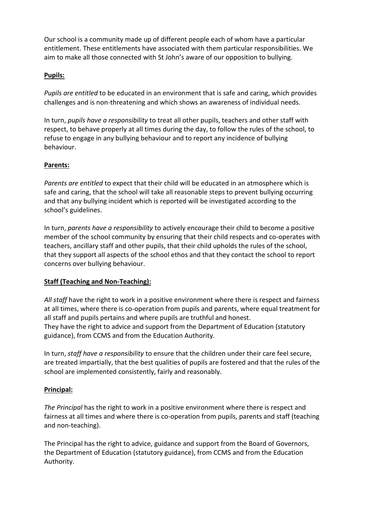Our school is a community made up of different people each of whom have a particular entitlement. These entitlements have associated with them particular responsibilities. We aim to make all those connected with St John's aware of our opposition to bullying.

# **Pupils:**

*Pupils are entitled* to be educated in an environment that is safe and caring, which provides challenges and is non-threatening and which shows an awareness of individual needs.

In turn, *pupils have a responsibility* to treat all other pupils, teachers and other staff with respect, to behave properly at all times during the day, to follow the rules of the school, to refuse to engage in any bullying behaviour and to report any incidence of bullying behaviour.

# **Parents:**

*Parents are entitled* to expect that their child will be educated in an atmosphere which is safe and caring, that the school will take all reasonable steps to prevent bullying occurring and that any bullying incident which is reported will be investigated according to the school's guidelines.

In turn, *parents have a responsibility* to actively encourage their child to become a positive member of the school community by ensuring that their child respects and co-operates with teachers, ancillary staff and other pupils, that their child upholds the rules of the school, that they support all aspects of the school ethos and that they contact the school to report concerns over bullying behaviour.

# **Staff (Teaching and Non-Teaching):**

*All staff* have the right to work in a positive environment where there is respect and fairness at all times, where there is co-operation from pupils and parents, where equal treatment for all staff and pupils pertains and where pupils are truthful and honest. They have the right to advice and support from the Department of Education (statutory guidance), from CCMS and from the Education Authority.

In turn, *staff have a responsibility* to ensure that the children under their care feel secure, are treated impartially, that the best qualities of pupils are fostered and that the rules of the school are implemented consistently, fairly and reasonably.

## **Principal:**

*The Principal* has the right to work in a positive environment where there is respect and fairness at all times and where there is co-operation from pupils, parents and staff (teaching and non-teaching).

The Principal has the right to advice, guidance and support from the Board of Governors, the Department of Education (statutory guidance), from CCMS and from the Education Authority.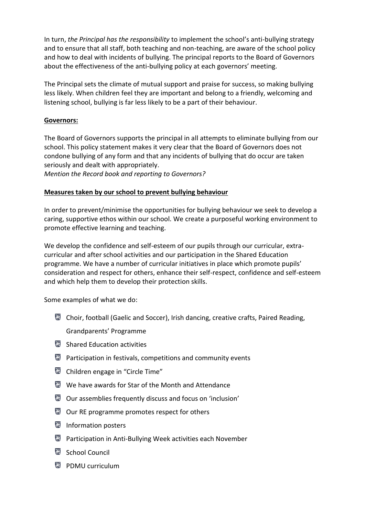In turn, *the Principal has the responsibility* to implement the school's anti-bullying strategy and to ensure that all staff, both teaching and non-teaching, are aware of the school policy and how to deal with incidents of bullying. The principal reports to the Board of Governors about the effectiveness of the anti-bullying policy at each governors' meeting.

The Principal sets the climate of mutual support and praise for success, so making bullying less likely. When children feel they are important and belong to a friendly, welcoming and listening school, bullying is far less likely to be a part of their behaviour.

## **Governors:**

The Board of Governors supports the principal in all attempts to eliminate bullying from our school. This policy statement makes it very clear that the Board of Governors does not condone bullying of any form and that any incidents of bullying that do occur are taken seriously and dealt with appropriately.

*Mention the Record book and reporting to Governors?*

## **Measures taken by our school to prevent bullying behaviour**

In order to prevent/minimise the opportunities for bullying behaviour we seek to develop a caring, supportive ethos within our school. We create a purposeful working environment to promote effective learning and teaching.

We develop the confidence and self-esteem of our pupils through our curricular, extracurricular and after school activities and our participation in the Shared Education programme. We have a number of curricular initiatives in place which promote pupils' consideration and respect for others, enhance their self-respect, confidence and self-esteem and which help them to develop their protection skills.

Some examples of what we do:

- Choir, football (Gaelic and Soccer), Irish dancing, creative crafts, Paired Reading, Grandparents' Programme
- Shared Education activities
- **Participation in festivals, competitions and community events**
- Children engage in "Circle Time"
- We have awards for Star of the Month and Attendance
- Our assemblies frequently discuss and focus on 'inclusion'
- Our RE programme promotes respect for others
- Information posters
- Participation in Anti-Bullying Week activities each November
- School Council
- **PDMU** curriculum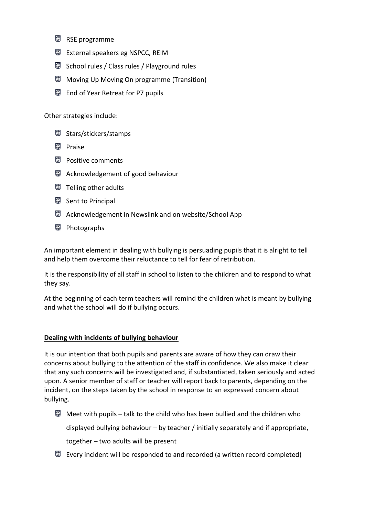- RSE programme
- External speakers eg NSPCC, REIM
- School rules / Class rules / Playground rules
- **Moving Up Moving On programme (Transition)**
- End of Year Retreat for P7 pupils

Other strategies include:

- Stars/stickers/stamps
- **Praise**
- **Positive comments**
- **Acknowledgement of good behaviour**
- **Telling other adults**
- Sent to Principal
- **Acknowledgement in Newslink and on website/School App**
- **Photographs**

An important element in dealing with bullying is persuading pupils that it is alright to tell and help them overcome their reluctance to tell for fear of retribution.

It is the responsibility of all staff in school to listen to the children and to respond to what they say.

At the beginning of each term teachers will remind the children what is meant by bullying and what the school will do if bullying occurs.

#### **Dealing with incidents of bullying behaviour**

It is our intention that both pupils and parents are aware of how they can draw their concerns about bullying to the attention of the staff in confidence. We also make it clear that any such concerns will be investigated and, if substantiated, taken seriously and acted upon. A senior member of staff or teacher will report back to parents, depending on the incident, on the steps taken by the school in response to an expressed concern about bullying.

- $\blacksquare$  Meet with pupils talk to the child who has been bullied and the children who displayed bullying behaviour – by teacher / initially separately and if appropriate, together – two adults will be present
- $\blacksquare$  Every incident will be responded to and recorded (a written record completed)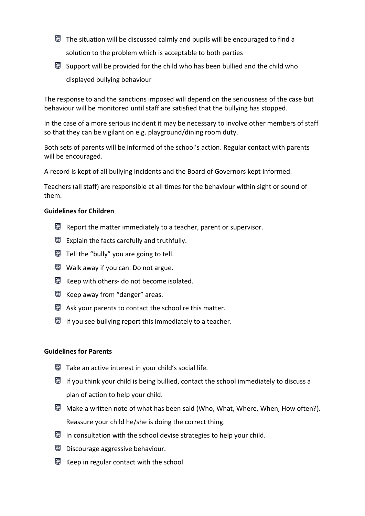- $\blacksquare$  The situation will be discussed calmly and pupils will be encouraged to find a solution to the problem which is acceptable to both parties
- Support will be provided for the child who has been bullied and the child who displayed bullying behaviour

The response to and the sanctions imposed will depend on the seriousness of the case but behaviour will be monitored until staff are satisfied that the bullying has stopped.

In the case of a more serious incident it may be necessary to involve other members of staff so that they can be vigilant on e.g. playground/dining room duty.

Both sets of parents will be informed of the school's action. Regular contact with parents will be encouraged.

A record is kept of all bullying incidents and the Board of Governors kept informed.

Teachers (all staff) are responsible at all times for the behaviour within sight or sound of them.

#### **Guidelines for Children**

- $\blacksquare$  Report the matter immediately to a teacher, parent or supervisor.
- Explain the facts carefully and truthfully.
- $\blacksquare$  Tell the "bully" you are going to tell.
- **Walk away if you can. Do not argue.**
- Keep with others- do not become isolated.
- Keep away from "danger" areas.
- $\Box$  Ask your parents to contact the school re this matter.
- $\overline{\mathbb{S}}$  If you see bullying report this immediately to a teacher.

#### **Guidelines for Parents**

- Take an active interest in your child's social life.
- $\blacksquare$  If you think your child is being bullied, contact the school immediately to discuss a plan of action to help your child.
- Make a written note of what has been said (Who, What, Where, When, How often?). Reassure your child he/she is doing the correct thing.
- In consultation with the school devise strategies to help your child.
- **Discourage aggressive behaviour.**
- $\blacksquare$  Keep in regular contact with the school.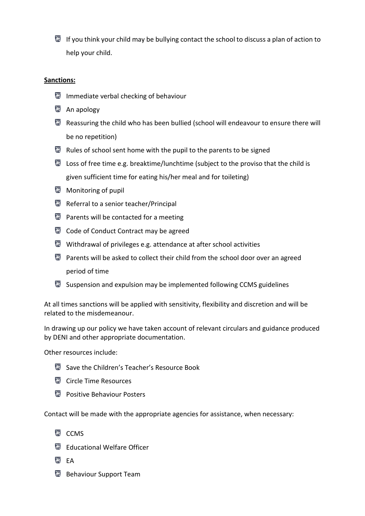If you think your child may be bullying contact the school to discuss a plan of action to help your child.

#### **Sanctions:**

- **Immediate verbal checking of behaviour**
- **An apology**
- $\blacksquare$  Reassuring the child who has been bullied (school will endeavour to ensure there will be no repetition)
- $\blacksquare$  Rules of school sent home with the pupil to the parents to be signed
- **E** Loss of free time e.g. breaktime/lunchtime (subject to the proviso that the child is given sufficient time for eating his/her meal and for toileting)
- **Monitoring of pupil**
- Referral to a senior teacher/Principal
- $\blacksquare$  Parents will be contacted for a meeting
- Code of Conduct Contract may be agreed
- $\blacksquare$  Withdrawal of privileges e.g. attendance at after school activities
- $\blacksquare$  Parents will be asked to collect their child from the school door over an agreed period of time
- $\blacksquare$  Suspension and expulsion may be implemented following CCMS guidelines

At all times sanctions will be applied with sensitivity, flexibility and discretion and will be related to the misdemeanour.

In drawing up our policy we have taken account of relevant circulars and guidance produced by DENI and other appropriate documentation.

Other resources include:

- Save the Children's Teacher's Resource Book
- **Circle Time Resources**
- **Positive Behaviour Posters**

Contact will be made with the appropriate agencies for assistance, when necessary:

- **E** CCMS
- Educational Welfare Officer
- **EA** EA
- Behaviour Support Team